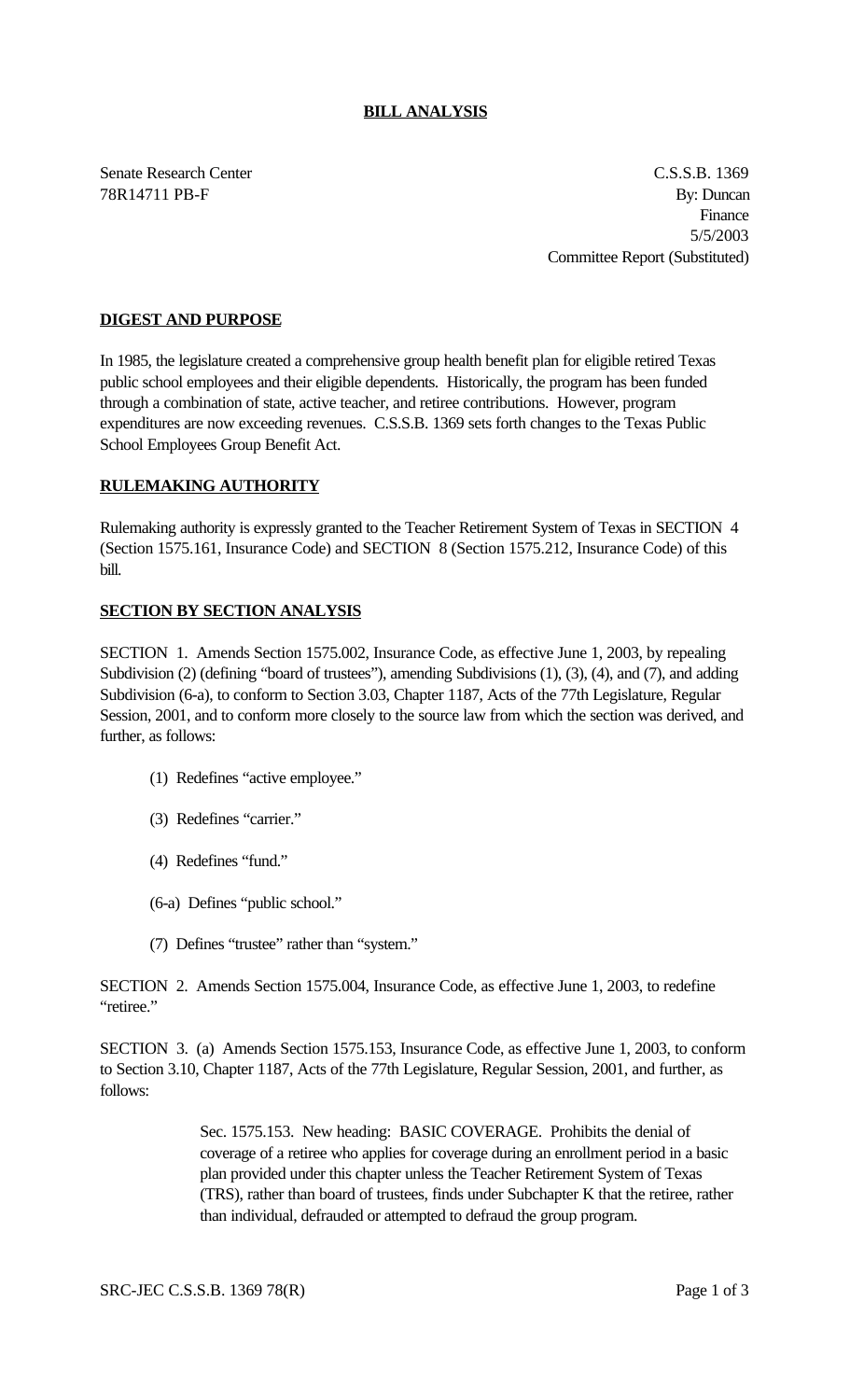## **BILL ANALYSIS**

Senate Research Center Cassach Center C.S.S.B. 1369 78R14711 PB-F By: Duncan Finance 5/5/2003 Committee Report (Substituted)

## **DIGEST AND PURPOSE**

In 1985, the legislature created a comprehensive group health benefit plan for eligible retired Texas public school employees and their eligible dependents. Historically, the program has been funded through a combination of state, active teacher, and retiree contributions. However, program expenditures are now exceeding revenues. C.S.S.B. 1369 sets forth changes to the Texas Public School Employees Group Benefit Act.

## **RULEMAKING AUTHORITY**

Rulemaking authority is expressly granted to the Teacher Retirement System of Texas in SECTION 4 (Section 1575.161, Insurance Code) and SECTION 8 (Section 1575.212, Insurance Code) of this bill.

## **SECTION BY SECTION ANALYSIS**

SECTION 1. Amends Section 1575.002, Insurance Code, as effective June 1, 2003, by repealing Subdivision (2) (defining "board of trustees"), amending Subdivisions (1), (3), (4), and (7), and adding Subdivision (6-a), to conform to Section 3.03, Chapter 1187, Acts of the 77th Legislature, Regular Session, 2001, and to conform more closely to the source law from which the section was derived, and further, as follows:

- (1) Redefines "active employee."
- (3) Redefines "carrier."
- (4) Redefines "fund."
- (6-a) Defines "public school."
- (7) Defines "trustee" rather than "system."

SECTION 2. Amends Section 1575.004, Insurance Code, as effective June 1, 2003, to redefine "retiree."

SECTION 3. (a) Amends Section 1575.153, Insurance Code, as effective June 1, 2003, to conform to Section 3.10, Chapter 1187, Acts of the 77th Legislature, Regular Session, 2001, and further, as follows:

> Sec. 1575.153. New heading: BASIC COVERAGE. Prohibits the denial of coverage of a retiree who applies for coverage during an enrollment period in a basic plan provided under this chapter unless the Teacher Retirement System of Texas (TRS), rather than board of trustees, finds under Subchapter K that the retiree, rather than individual, defrauded or attempted to defraud the group program.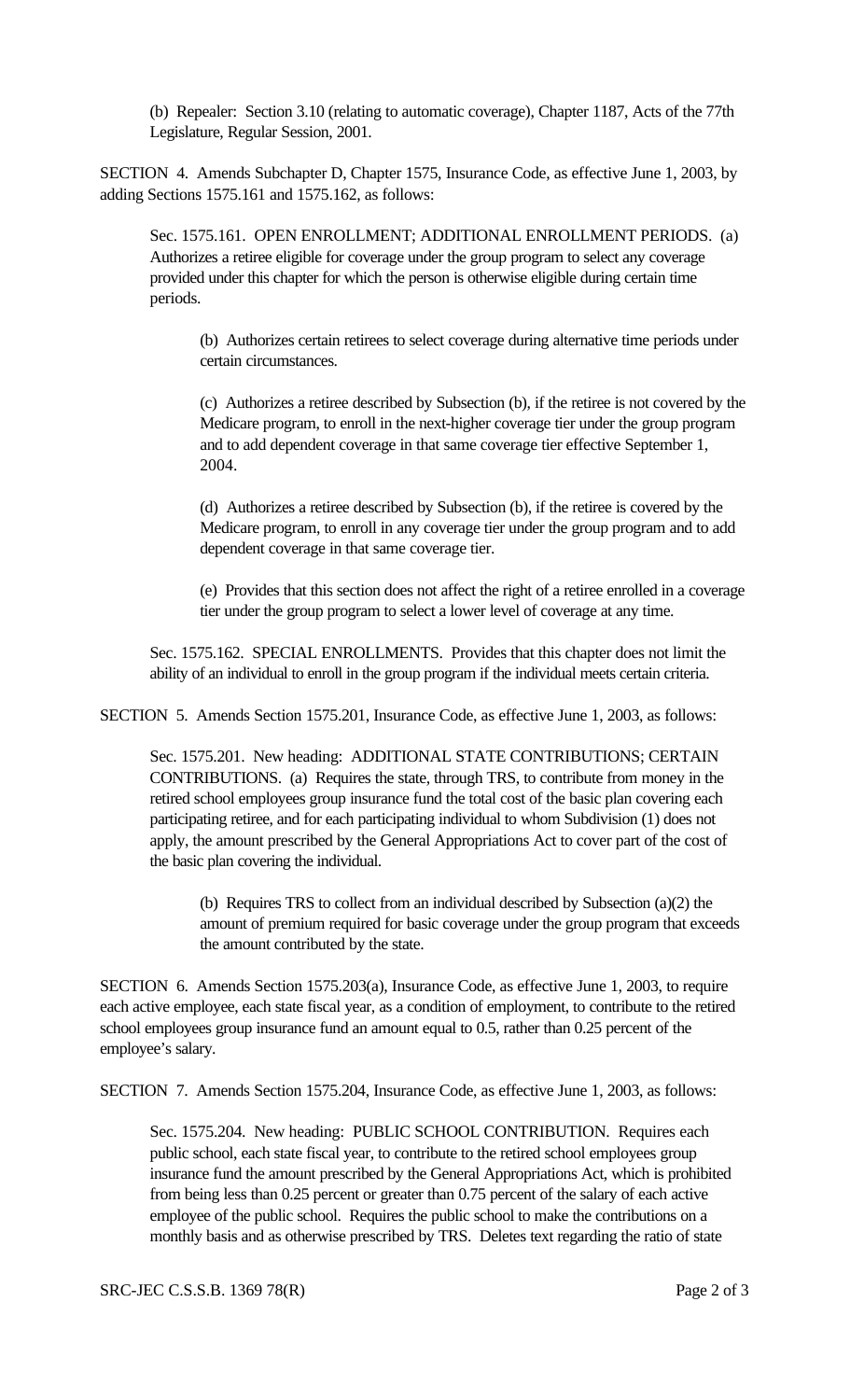(b) Repealer: Section 3.10 (relating to automatic coverage), Chapter 1187, Acts of the 77th Legislature, Regular Session, 2001.

SECTION 4. Amends Subchapter D, Chapter 1575, Insurance Code, as effective June 1, 2003, by adding Sections 1575.161 and 1575.162, as follows:

Sec. 1575.161. OPEN ENROLLMENT; ADDITIONAL ENROLLMENT PERIODS. (a) Authorizes a retiree eligible for coverage under the group program to select any coverage provided under this chapter for which the person is otherwise eligible during certain time periods.

(b) Authorizes certain retirees to select coverage during alternative time periods under certain circumstances.

(c) Authorizes a retiree described by Subsection (b), if the retiree is not covered by the Medicare program, to enroll in the next-higher coverage tier under the group program and to add dependent coverage in that same coverage tier effective September 1, 2004.

(d) Authorizes a retiree described by Subsection (b), if the retiree is covered by the Medicare program, to enroll in any coverage tier under the group program and to add dependent coverage in that same coverage tier.

(e) Provides that this section does not affect the right of a retiree enrolled in a coverage tier under the group program to select a lower level of coverage at any time.

Sec. 1575.162. SPECIAL ENROLLMENTS. Provides that this chapter does not limit the ability of an individual to enroll in the group program if the individual meets certain criteria.

SECTION 5. Amends Section 1575.201, Insurance Code, as effective June 1, 2003, as follows:

Sec. 1575.201. New heading: ADDITIONAL STATE CONTRIBUTIONS; CERTAIN CONTRIBUTIONS. (a) Requires the state, through TRS, to contribute from money in the retired school employees group insurance fund the total cost of the basic plan covering each participating retiree, and for each participating individual to whom Subdivision (1) does not apply, the amount prescribed by the General Appropriations Act to cover part of the cost of the basic plan covering the individual.

(b) Requires TRS to collect from an individual described by Subsection (a)(2) the amount of premium required for basic coverage under the group program that exceeds the amount contributed by the state.

SECTION 6. Amends Section 1575.203(a), Insurance Code, as effective June 1, 2003, to require each active employee, each state fiscal year, as a condition of employment, to contribute to the retired school employees group insurance fund an amount equal to 0.5, rather than 0.25 percent of the employee's salary.

SECTION 7. Amends Section 1575.204, Insurance Code, as effective June 1, 2003, as follows:

Sec. 1575.204. New heading: PUBLIC SCHOOL CONTRIBUTION. Requires each public school, each state fiscal year, to contribute to the retired school employees group insurance fund the amount prescribed by the General Appropriations Act, which is prohibited from being less than 0.25 percent or greater than 0.75 percent of the salary of each active employee of the public school. Requires the public school to make the contributions on a monthly basis and as otherwise prescribed by TRS. Deletes text regarding the ratio of state